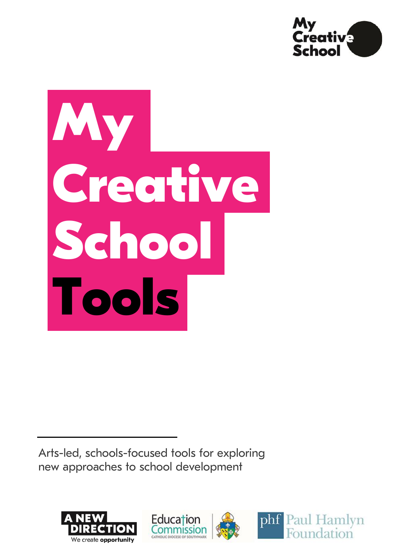

# **My Creative School Tools**

Arts-led, schools-focused tools for exploring new approaches to school development







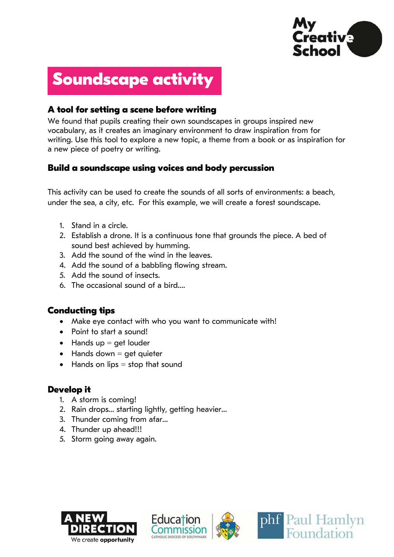

# **Soundscape activity**

## **A tool for setting a scene before writing**

We found that pupils creating their own soundscapes in groups inspired new vocabulary, as it creates an imaginary environment to draw inspiration from for writing. Use this tool to explore a new topic, a theme from a book or as inspiration for a new piece of poetry or writing.

#### **Build a soundscape using voices and body percussion**

This activity can be used to create the sounds of all sorts of environments: a beach, under the sea, a city, etc. For this example, we will create a forest soundscape.

- 1. Stand in a circle.
- 2. Establish a drone. It is a continuous tone that grounds the piece. A bed of sound best achieved by humming.
- 3. Add the sound of the wind in the leaves.
- 4. Add the sound of a babbling flowing stream.
- 5. Add the sound of insects.
- 6. The occasional sound of a bird….

#### **Conducting tips**

- Make eye contact with who you want to communicate with!
- Point to start a sound!
- $\bullet$  Hands up = get louder
- $\bullet$  Hands down = get quieter
- $\bullet$  Hands on lips = stop that sound

#### **Develop it**

- 1. A storm is coming!
- 2. Rain drops… starting lightly, getting heavier…
- 3. Thunder coming from afar…
- 4. Thunder up ahead!!!
- 5. Storm going away again.







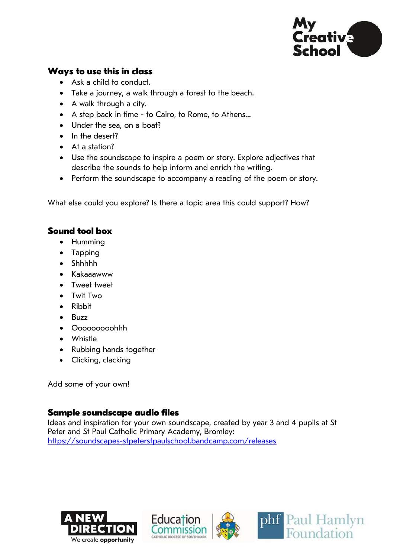

## **Ways to use this in class**

- Ask a child to conduct.
- Take a journey, a walk through a forest to the beach.
- A walk through a city.
- A step back in time to Cairo, to Rome, to Athens…
- Under the sea, on a boat?
- In the desert?
- At a station?
- Use the soundscape to inspire a poem or story. Explore adjectives that describe the sounds to help inform and enrich the writing.
- Perform the soundscape to accompany a reading of the poem or story.

What else could you explore? Is there a topic area this could support? How?

# **Sound tool box**

- Humming
- Tapping
- Shhhhh
- Kakaaawww
- Tweet tweet
- Twit Two
- Ribbit
- Buzz
- Ooooooooohhh
- Whistle
- Rubbing hands together
- Clicking, clacking

Add some of your own!

# **Sample soundscape audio files**

Ideas and inspiration for your own soundscape, created by year 3 and 4 pupils at St Peter and St Paul Catholic Primary Academy, Bromley: <https://soundscapes-stpeterstpaulschool.bandcamp.com/releases>